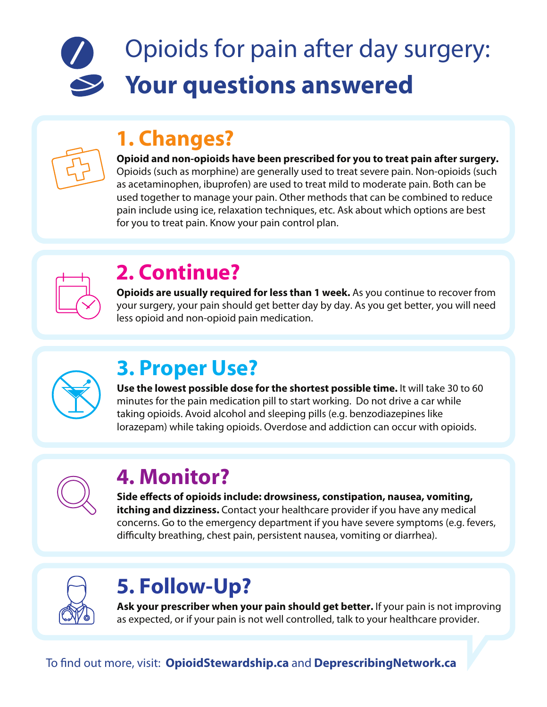# Opioids for pain after day surgery: **Your questions answered**

# **1. Changes?**

#### **Opioid and non-opioids have been prescribed for you to treat pain after surgery.**  Opioids (such as morphine) are generally used to treat severe pain. Non-opioids (such as acetaminophen, ibuprofen) are used to treat mild to moderate pain. Both can be used together to manage your pain. Other methods that can be combined to reduce pain include using ice, relaxation techniques, etc. Ask about which options are best for you to treat pain. Know your pain control plan.



# **2. Continue?**

**Opioids are usually required for less than 1 week.** As you continue to recover from your surgery, your pain should get better day by day. As you get better, you will need less opioid and non-opioid pain medication.



# **3. Proper Use?**

**Use the lowest possible dose for the shortest possible time.** It will take 30 to 60 minutes for the pain medication pill to start working. Do not drive a car while taking opioids. Avoid alcohol and sleeping pills (e.g. benzodiazepines like lorazepam) while taking opioids. Overdose and addiction can occur with opioids.



# **4. Monitor?**

Side effects of opioids include: drowsiness, constipation, nausea, vomiting, **itching and dizziness.** Contact your healthcare provider if you have any medical concerns. Go to the emergency department if you have severe symptoms (e.g. fevers, difficulty breathing, chest pain, persistent nausea, vomiting or diarrhea).



# **5. Follow-Up?**

**Ask your prescriber when your pain should get better.** If your pain is not improving as expected, or if your pain is not well controlled, talk to your healthcare provider.